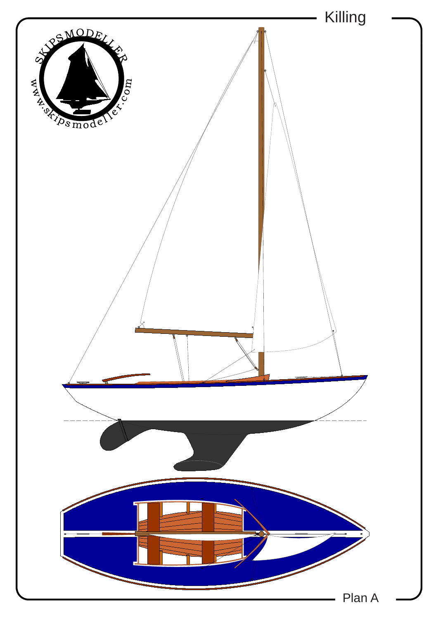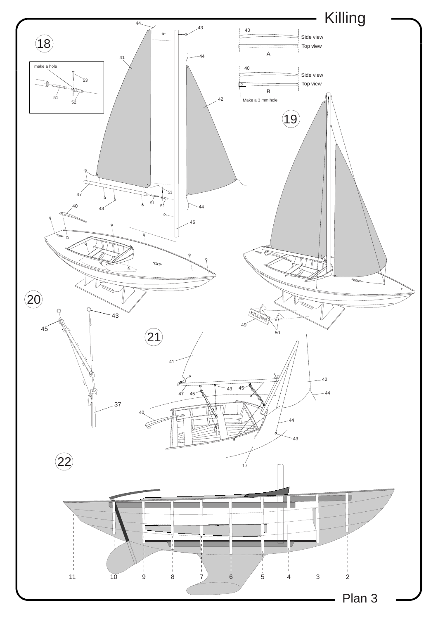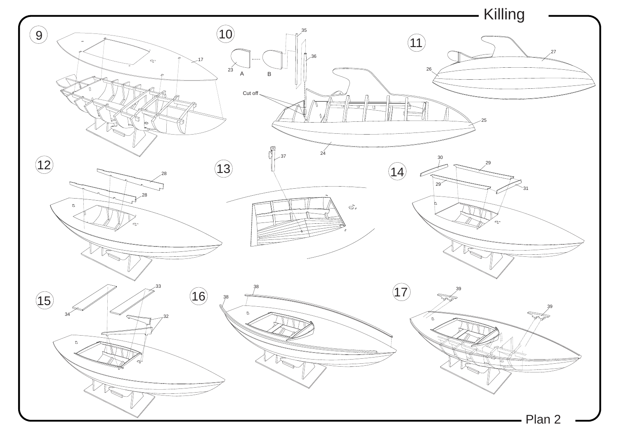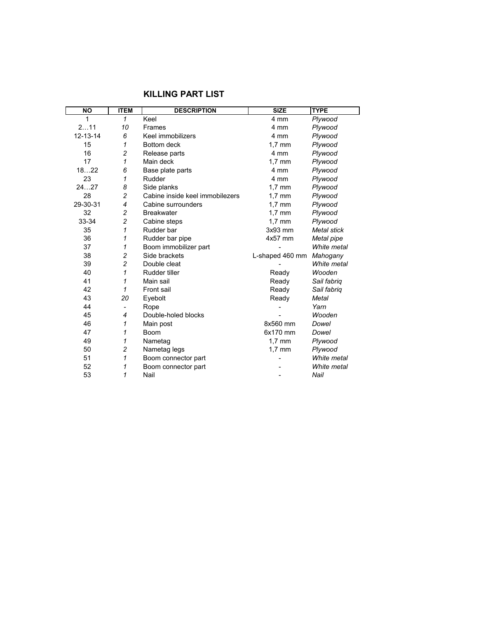| <b>NO</b> | <b>ITEM</b>    | <b>DESCRIPTION</b>              | <b>SIZE</b>              | <b>TYPE</b>        |
|-----------|----------------|---------------------------------|--------------------------|--------------------|
| 1         | 1              | Keel                            | 4 mm                     | Plywood            |
| 211       | 10             | <b>Frames</b>                   | 4 mm                     | Plywood            |
| 12-13-14  | 6              | Keel immobilizers               | 4 mm                     | Plywood            |
| 15        | 1              | Bottom deck                     | $1.7 \text{ mm}$         | Plywood            |
| 16        | $\overline{c}$ | Release parts                   | 4 mm                     | Plywood            |
| 17        | 1              | Main deck                       | $1.7 \text{ mm}$         | Plywood            |
| 1822      | 6              | Base plate parts                | 4 mm                     | Plywood            |
| 23        | 1              | Rudder                          | 4 mm                     | Plywood            |
| 2427      | 8              | Side planks                     | $1,7$ mm                 | Plywood            |
| 28        | $\overline{c}$ | Cabine inside keel immobilezers | $1.7$ mm                 | Plywood            |
| 29-30-31  | $\overline{4}$ | Cabine surrounders              | $1.7 \text{ mm}$         | Plywood            |
| 32        | $\overline{c}$ | <b>Breakwater</b>               | $1.7$ mm                 | Plywood            |
| 33-34     | $\overline{c}$ | Cabine steps                    | $1.7 \text{ mm}$         | Plywood            |
| 35        | 1              | Rudder bar                      | $3x93$ mm                | <b>Metal stick</b> |
| 36        | 1              | Rudder bar pipe                 | $4x57$ mm                | Metal pipe         |
| 37        | 1              | Boom immobilizer part           |                          | White metal        |
| 38        | $\overline{c}$ | Side brackets                   | L-shaped 460 mm Mahogany |                    |
| 39        | $\overline{c}$ | Double cleat                    |                          | White metal        |
| 40        | 1              | Rudder tiller                   | Ready                    | Wooden             |
| 41        | 1              | Main sail                       | Ready                    | Sail fabriq        |
| 42        | 1              | Front sail                      | Ready                    | Sail fabriq        |
| 43        | 20             | Eyebolt                         | Ready                    | Metal              |
| 44        |                | Rope                            |                          | Yarn               |
| 45        | 4              | Double-holed blocks             |                          | Wooden             |
| 46        | 1              | Main post                       | 8x560 mm                 | Dowel              |
| 47        | 1              | <b>Boom</b>                     | 6x170 mm                 | Dowel              |
| 49        | 1              | Nametag                         | $1,7$ mm                 | Plywood            |
| 50        | $\overline{c}$ | Nametag legs                    | $1,7$ mm                 | Plywood            |
| 51        | 1              | Boom connector part             |                          | White metal        |
| 52        | 1              | Boom connector part             |                          | White metal        |
| 53        | 1              | Nail                            |                          | Nail               |

## **KILLING PART LIST**